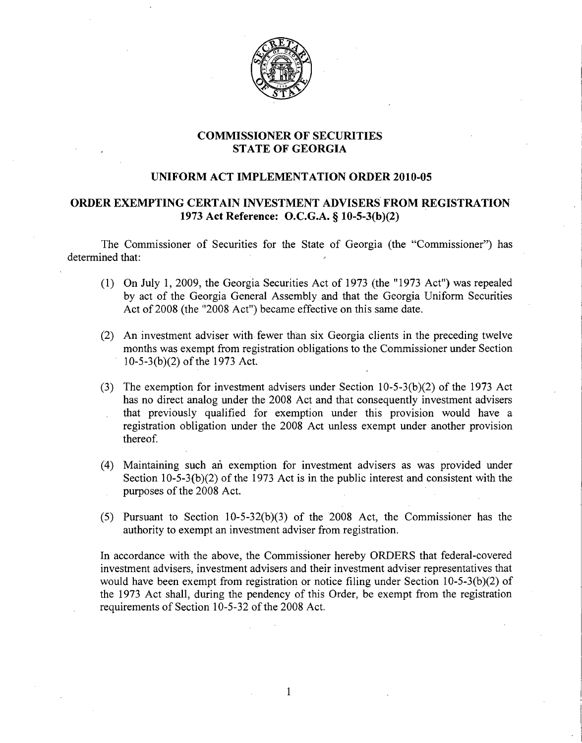

## **COMMISSIONER OF SECURITIES STATE OF GEORGIA**

## **UNIFORM ACT IMPLEMENTATION ORDER 2010-05**

## **ORDER EXEMPTING CERTAIN INVESTMENT ADVISERS FROM REGISTRATION 1973 Act Reference: O.C.G.A. § 10-5-3(b)(2)**

The Commissioner of Securities for the State of Georgia (the "Commissioner") has determined that:

- (1) On July 1,2009, the Georgia Securities Act of 1973 (the "1973 Act") was repealed by act of the Georgia General Assembly and that the Georgia Uniform Securities Act of 2008 (the "2008 Act") became effective on this same date.
- (2) An investment adviser with fewer than six Georgia clients in the preceding twelve months was exempt from registration obligations to the Commissioner under Section  $10-5-3(b)(2)$  of the 1973 Act.
- (3) The exemption for investment advisers under Section  $10-5-3(b)(2)$  of the 1973 Act has no direct analog under the 2008 Act and that consequently investment advisers that previously qualified for exemption under this provision would have a registration obligation under the 2008 Act unless exempt under another provision thereof.
- (4) Maintaining such an exemption for investment advisers as was provided under Section 10-5-3(b)(2) of the 1973 Act is in the public interest and consistent with the purposes of the 2008 Act.
- (5) Pursuant to Section  $10-5-32(b)(3)$  of the 2008 Act, the Commissioner has the authority to exempt an investment adviser from registration.

In accordance with the above, the Commissioner hereby ORDERS that federal-covered investment advisers, investment advisers and their investment adviser representatives that would have been exempt from registration or notice filing under Section 10-5-3(b)(2) of the 1973 Act shall, during the pendency of this Order, be exempt from the registration requirements of Section 10-5-32 of the 2008 Act.